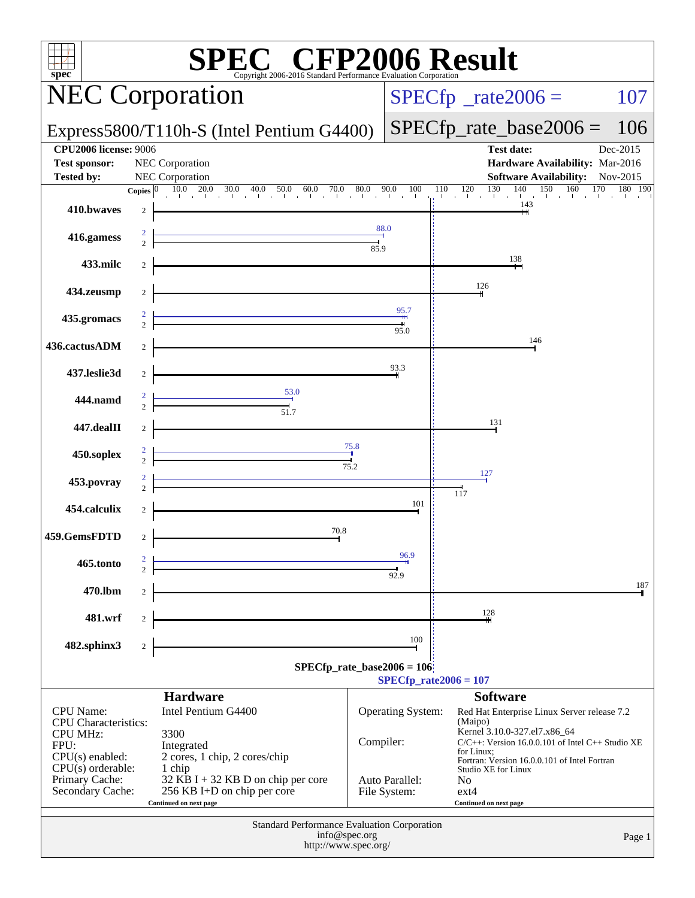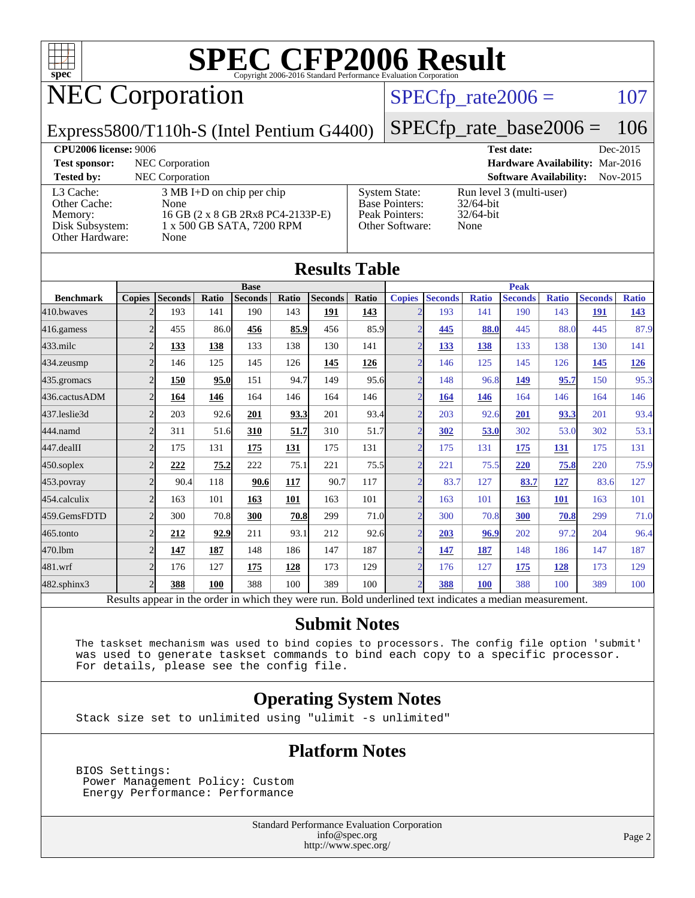

[Base Pointers:](http://www.spec.org/auto/cpu2006/Docs/result-fields.html#BasePointers)

[Peak Pointers:](http://www.spec.org/auto/cpu2006/Docs/result-fields.html#PeakPointers) 32/64-bit [Other Software:](http://www.spec.org/auto/cpu2006/Docs/result-fields.html#OtherSoftware) None

# NEC Corporation

#### $SPECTp_rate2006 = 107$

Express5800/T110h-S (Intel Pentium G4400)

[SPECfp\\_rate\\_base2006 =](http://www.spec.org/auto/cpu2006/Docs/result-fields.html#SPECfpratebase2006) 106

**[CPU2006 license:](http://www.spec.org/auto/cpu2006/Docs/result-fields.html#CPU2006license)** 9006 **[Test date:](http://www.spec.org/auto/cpu2006/Docs/result-fields.html#Testdate)** Dec-2015 **[Test sponsor:](http://www.spec.org/auto/cpu2006/Docs/result-fields.html#Testsponsor)** NEC Corporation **[Hardware Availability:](http://www.spec.org/auto/cpu2006/Docs/result-fields.html#HardwareAvailability)** Mar-2016 **[Tested by:](http://www.spec.org/auto/cpu2006/Docs/result-fields.html#Testedby)** NEC Corporation **[Software Availability:](http://www.spec.org/auto/cpu2006/Docs/result-fields.html#SoftwareAvailability)** Nov-2015 [System State:](http://www.spec.org/auto/cpu2006/Docs/result-fields.html#SystemState) Run level 3 (multi-user)<br>Base Pointers: 32/64-bit

[L3 Cache:](http://www.spec.org/auto/cpu2006/Docs/result-fields.html#L3Cache) 3 MB I+D on chip per chip [Other Cache:](http://www.spec.org/auto/cpu2006/Docs/result-fields.html#OtherCache) [Memory:](http://www.spec.org/auto/cpu2006/Docs/result-fields.html#Memory) 16 GB (2 x 8 GB 2Rx8 PC4-2133P-E) [Disk Subsystem:](http://www.spec.org/auto/cpu2006/Docs/result-fields.html#DiskSubsystem) 1 x 500 GB SATA, 7200 RPM [Other Hardware:](http://www.spec.org/auto/cpu2006/Docs/result-fields.html#OtherHardware) None

| <b>Results Table</b> |                          |                                                                                                          |            |                |       |                |       |                   |                |              |                |              |                |              |
|----------------------|--------------------------|----------------------------------------------------------------------------------------------------------|------------|----------------|-------|----------------|-------|-------------------|----------------|--------------|----------------|--------------|----------------|--------------|
|                      |                          |                                                                                                          |            | <b>Base</b>    |       |                |       |                   |                |              | <b>Peak</b>    |              |                |              |
| <b>Benchmark</b>     | <b>Copies</b>            | <b>Seconds</b>                                                                                           | Ratio      | <b>Seconds</b> | Ratio | <b>Seconds</b> | Ratio | <b>Copies</b>     | <b>Seconds</b> | <b>Ratio</b> | <b>Seconds</b> | <b>Ratio</b> | <b>Seconds</b> | <b>Ratio</b> |
| 410.bwayes           |                          | 193                                                                                                      | 141        | 190            | 143   | 191            | 143   | $\overline{2}$    | 193            | 141          | 190            | 143          | <b>191</b>     | 143          |
| 416.gamess           | $\overline{2}$           | 455                                                                                                      | 86.0       | 456            | 85.9  | 456            | 85.9  | $\overline{2}$    | 445            | 88.0         | 445            | 88.0         | 445            | 87.9         |
| 433.milc             | $\overline{2}$           | 133                                                                                                      | 138        | 133            | 138   | 130            | 141   | $\overline{2}$    | 133            | 138          | 133            | 138          | 130            | 141          |
| 434.zeusmp           | $\overline{2}$           | 146                                                                                                      | 125        | 145            | 126   | 145            | 126   | $\overline{2}$    | 146            | 125          | 145            | 126          | 145            | 126          |
| 435.gromacs          | $\overline{2}$           | 150                                                                                                      | 95.0       | 151            | 94.7  | 149            | 95.6  | $\overline{2}$    | 148            | 96.8         | 149            | 95.7         | 150            | 95.3         |
| 436.cactusADM        | $\overline{2}$           | 164                                                                                                      | 146        | 164            | 146   | 164            | 146   | $\overline{2}$    | 164            | 146          | 164            | 146          | 164            | 146          |
| 437.leslie3d         | $\overline{2}$           | 203                                                                                                      | 92.6       | 201            | 93.3  | 201            | 93.4  | $\overline{2}$    | 203            | 92.6         | 201            | 93.3         | 201            | 93.4         |
| 444.namd             | $\overline{c}$           | 311                                                                                                      | 51.6       | 310            | 51.7  | 310            | 51.7  | $\overline{2}$    | 302            | 53.0         | 302            | 53.0         | 302            | 53.1         |
| 447.dealII           | $\overline{2}$           | 175                                                                                                      | 131        | 175            | 131   | 175            | 131   | $\overline{2}$    | 175            | 131          | 175            | 131          | 175            | 131          |
| $450$ .soplex        | $\overline{2}$           | 222                                                                                                      | 75.2       | 222            | 75.1  | 221            | 75.5  | $\overline{2}$    | 221            | 75.5         | 220            | 75.8         | 220            | 75.9         |
| $453$ .povray        | $\overline{2}$           | 90.4                                                                                                     | 118        | 90.6           | 117   | 90.7           | 117   | $\overline{2}$    | 83.7           | 127          | 83.7           | 127          | 83.6           | 127          |
| 454.calculix         | $\overline{2}$           | 163                                                                                                      | 101        | 163            | 101   | 163            | 101   | $\overline{2}$    | 163            | 101          | 163            | <b>101</b>   | 163            | 101          |
| 459.GemsFDTD         | $\overline{2}$           | 300                                                                                                      | 70.8       | 300            | 70.8  | 299            | 71.0  | $\overline{2}$    | 300            | 70.8         | 300            | 70.8         | 299            | 71.0         |
| 465.tonto            | $\overline{2}$           | 212                                                                                                      | 92.9       | 211            | 93.1  | 212            | 92.6  | $\overline{2}$    | 203            | 96.9         | 202            | 97.2         | 204            | 96.4         |
| 470.1bm              | $\overline{2}$           | 147                                                                                                      | <b>187</b> | 148            | 186   | 147            | 187   | $\overline{2}$    | <u>147</u>     | 187          | 148            | 186          | 147            | 187          |
| 481.wrf              | $\overline{2}$           | 176                                                                                                      | 127        | 175            | 128   | 173            | 129   | $\overline{2}$    | 176            | 127          | 175            | <u>128</u>   | 173            | 129          |
| $482$ .sphinx $3$    | $\overline{\mathcal{L}}$ | 388                                                                                                      | 100        | 388            | 100   | 389            | 100   | $\mathcal{D}_{1}$ | 388            | <b>100</b>   | 388            | 100          | 389            | 100          |
|                      |                          | Results appear in the order in which they were run. Bold underlined text indicates a median measurement. |            |                |       |                |       |                   |                |              |                |              |                |              |

**[Submit Notes](http://www.spec.org/auto/cpu2006/Docs/result-fields.html#SubmitNotes)**

 The taskset mechanism was used to bind copies to processors. The config file option 'submit' was used to generate taskset commands to bind each copy to a specific processor. For details, please see the config file.

#### **[Operating System Notes](http://www.spec.org/auto/cpu2006/Docs/result-fields.html#OperatingSystemNotes)**

Stack size set to unlimited using "ulimit -s unlimited"

#### **[Platform Notes](http://www.spec.org/auto/cpu2006/Docs/result-fields.html#PlatformNotes)**

 BIOS Settings: Power Management Policy: Custom Energy Performance: Performance

> Standard Performance Evaluation Corporation [info@spec.org](mailto:info@spec.org) <http://www.spec.org/>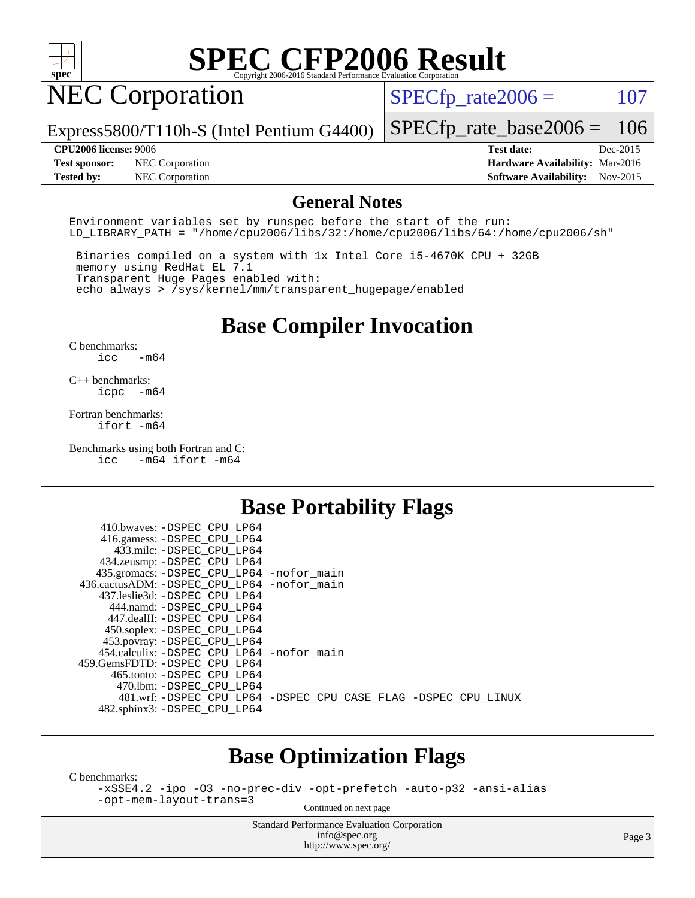

## NEC Corporation

 $SPECTp_rate2006 = 107$ 

Express5800/T110h-S (Intel Pentium G4400) [SPECfp\\_rate\\_base2006 =](http://www.spec.org/auto/cpu2006/Docs/result-fields.html#SPECfpratebase2006) 106

**[Test sponsor:](http://www.spec.org/auto/cpu2006/Docs/result-fields.html#Testsponsor)** NEC Corporation **[Hardware Availability:](http://www.spec.org/auto/cpu2006/Docs/result-fields.html#HardwareAvailability)** Mar-2016 **[Tested by:](http://www.spec.org/auto/cpu2006/Docs/result-fields.html#Testedby)** NEC Corporation **[Software Availability:](http://www.spec.org/auto/cpu2006/Docs/result-fields.html#SoftwareAvailability)** Nov-2015

**[CPU2006 license:](http://www.spec.org/auto/cpu2006/Docs/result-fields.html#CPU2006license)** 9006 **[Test date:](http://www.spec.org/auto/cpu2006/Docs/result-fields.html#Testdate)** Dec-2015

#### **[General Notes](http://www.spec.org/auto/cpu2006/Docs/result-fields.html#GeneralNotes)**

Environment variables set by runspec before the start of the run: LD LIBRARY PATH = "/home/cpu2006/libs/32:/home/cpu2006/libs/64:/home/cpu2006/sh"

 Binaries compiled on a system with 1x Intel Core i5-4670K CPU + 32GB memory using RedHat EL 7.1 Transparent Huge Pages enabled with: echo always > /sys/kernel/mm/transparent\_hugepage/enabled

### **[Base Compiler Invocation](http://www.spec.org/auto/cpu2006/Docs/result-fields.html#BaseCompilerInvocation)**

[C benchmarks](http://www.spec.org/auto/cpu2006/Docs/result-fields.html#Cbenchmarks): [icc -m64](http://www.spec.org/cpu2006/results/res2016q1/cpu2006-20160125-38938.flags.html#user_CCbase_intel_icc_64bit_0b7121f5ab7cfabee23d88897260401c)

[C++ benchmarks:](http://www.spec.org/auto/cpu2006/Docs/result-fields.html#CXXbenchmarks) [icpc -m64](http://www.spec.org/cpu2006/results/res2016q1/cpu2006-20160125-38938.flags.html#user_CXXbase_intel_icpc_64bit_bedb90c1146cab66620883ef4f41a67e)

[Fortran benchmarks](http://www.spec.org/auto/cpu2006/Docs/result-fields.html#Fortranbenchmarks): [ifort -m64](http://www.spec.org/cpu2006/results/res2016q1/cpu2006-20160125-38938.flags.html#user_FCbase_intel_ifort_64bit_ee9d0fb25645d0210d97eb0527dcc06e)

[Benchmarks using both Fortran and C](http://www.spec.org/auto/cpu2006/Docs/result-fields.html#BenchmarksusingbothFortranandC): [icc -m64](http://www.spec.org/cpu2006/results/res2016q1/cpu2006-20160125-38938.flags.html#user_CC_FCbase_intel_icc_64bit_0b7121f5ab7cfabee23d88897260401c) [ifort -m64](http://www.spec.org/cpu2006/results/res2016q1/cpu2006-20160125-38938.flags.html#user_CC_FCbase_intel_ifort_64bit_ee9d0fb25645d0210d97eb0527dcc06e)

 $410.1$   $\ldots$  paper apt tpc.

#### **[Base Portability Flags](http://www.spec.org/auto/cpu2006/Docs/result-fields.html#BasePortabilityFlags)**

| 410.0Waves: -DSPEC CPU LP64                  |                                                                |
|----------------------------------------------|----------------------------------------------------------------|
| 416.gamess: -DSPEC_CPU_LP64                  |                                                                |
| 433.milc: -DSPEC CPU LP64                    |                                                                |
| 434.zeusmp: -DSPEC_CPU_LP64                  |                                                                |
| 435.gromacs: -DSPEC_CPU_LP64 -nofor_main     |                                                                |
| 436.cactusADM: - DSPEC CPU LP64 - nofor main |                                                                |
| 437.leslie3d: -DSPEC CPU LP64                |                                                                |
| 444.namd: -DSPEC CPU LP64                    |                                                                |
| 447.dealII: -DSPEC_CPU_LP64                  |                                                                |
| 450.soplex: -DSPEC_CPU_LP64                  |                                                                |
| 453.povray: -DSPEC_CPU_LP64                  |                                                                |
| 454.calculix: - DSPEC CPU LP64 - nofor main  |                                                                |
| 459.GemsFDTD: -DSPEC_CPU_LP64                |                                                                |
| 465.tonto: - DSPEC CPU LP64                  |                                                                |
| 470.1bm: - DSPEC CPU LP64                    |                                                                |
|                                              | 481.wrf: -DSPEC CPU_LP64 -DSPEC_CPU_CASE_FLAG -DSPEC_CPU_LINUX |
| 482.sphinx3: -DSPEC_CPU_LP64                 |                                                                |
|                                              |                                                                |

#### **[Base Optimization Flags](http://www.spec.org/auto/cpu2006/Docs/result-fields.html#BaseOptimizationFlags)**

[C benchmarks](http://www.spec.org/auto/cpu2006/Docs/result-fields.html#Cbenchmarks):

[-xSSE4.2](http://www.spec.org/cpu2006/results/res2016q1/cpu2006-20160125-38938.flags.html#user_CCbase_f-xSSE42_f91528193cf0b216347adb8b939d4107) [-ipo](http://www.spec.org/cpu2006/results/res2016q1/cpu2006-20160125-38938.flags.html#user_CCbase_f-ipo) [-O3](http://www.spec.org/cpu2006/results/res2016q1/cpu2006-20160125-38938.flags.html#user_CCbase_f-O3) [-no-prec-div](http://www.spec.org/cpu2006/results/res2016q1/cpu2006-20160125-38938.flags.html#user_CCbase_f-no-prec-div) [-opt-prefetch](http://www.spec.org/cpu2006/results/res2016q1/cpu2006-20160125-38938.flags.html#user_CCbase_f-opt-prefetch) [-auto-p32](http://www.spec.org/cpu2006/results/res2016q1/cpu2006-20160125-38938.flags.html#user_CCbase_f-auto-p32) [-ansi-alias](http://www.spec.org/cpu2006/results/res2016q1/cpu2006-20160125-38938.flags.html#user_CCbase_f-ansi-alias) [-opt-mem-layout-trans=3](http://www.spec.org/cpu2006/results/res2016q1/cpu2006-20160125-38938.flags.html#user_CCbase_f-opt-mem-layout-trans_a7b82ad4bd7abf52556d4961a2ae94d5)

Continued on next page

Standard Performance Evaluation Corporation [info@spec.org](mailto:info@spec.org) <http://www.spec.org/>

Page 3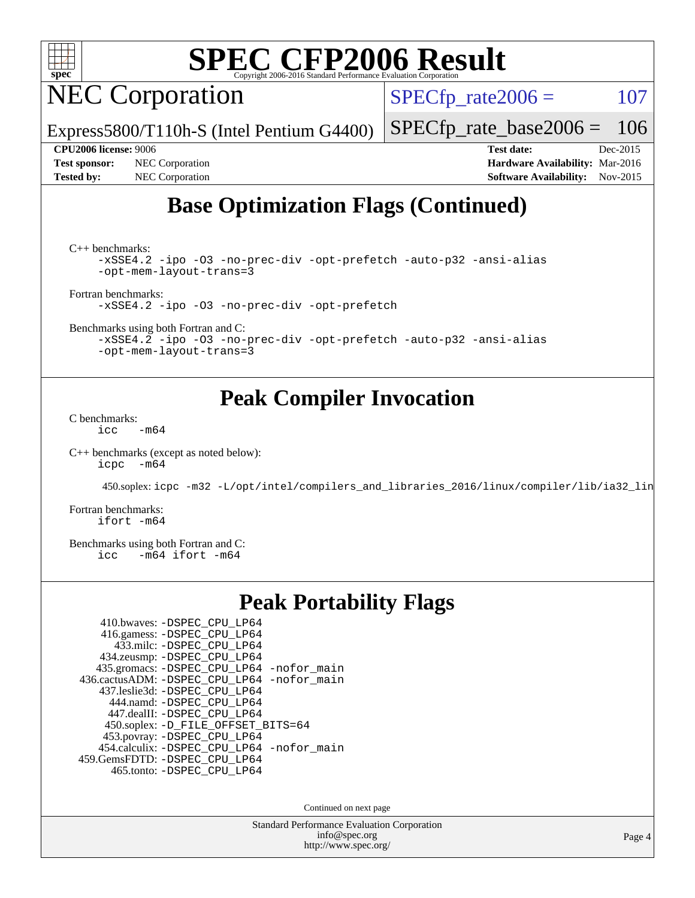

NEC Corporation

 $SPECTp_rate2006 = 107$ 

[SPECfp\\_rate\\_base2006 =](http://www.spec.org/auto/cpu2006/Docs/result-fields.html#SPECfpratebase2006) 106

**[CPU2006 license:](http://www.spec.org/auto/cpu2006/Docs/result-fields.html#CPU2006license)** 9006 **[Test date:](http://www.spec.org/auto/cpu2006/Docs/result-fields.html#Testdate)** Dec-2015

**[Test sponsor:](http://www.spec.org/auto/cpu2006/Docs/result-fields.html#Testsponsor)** NEC Corporation **[Hardware Availability:](http://www.spec.org/auto/cpu2006/Docs/result-fields.html#HardwareAvailability)** Mar-2016

**[Tested by:](http://www.spec.org/auto/cpu2006/Docs/result-fields.html#Testedby)** NEC Corporation **[Software Availability:](http://www.spec.org/auto/cpu2006/Docs/result-fields.html#SoftwareAvailability)** Nov-2015

### **[Base Optimization Flags \(Continued\)](http://www.spec.org/auto/cpu2006/Docs/result-fields.html#BaseOptimizationFlags)**

[C++ benchmarks:](http://www.spec.org/auto/cpu2006/Docs/result-fields.html#CXXbenchmarks)

```
-xSSE4.2 -ipo -O3 -no-prec-div -opt-prefetch -auto-p32 -ansi-alias
-opt-mem-layout-trans=3
```
[Fortran benchmarks](http://www.spec.org/auto/cpu2006/Docs/result-fields.html#Fortranbenchmarks):

[-xSSE4.2](http://www.spec.org/cpu2006/results/res2016q1/cpu2006-20160125-38938.flags.html#user_FCbase_f-xSSE42_f91528193cf0b216347adb8b939d4107) [-ipo](http://www.spec.org/cpu2006/results/res2016q1/cpu2006-20160125-38938.flags.html#user_FCbase_f-ipo) [-O3](http://www.spec.org/cpu2006/results/res2016q1/cpu2006-20160125-38938.flags.html#user_FCbase_f-O3) [-no-prec-div](http://www.spec.org/cpu2006/results/res2016q1/cpu2006-20160125-38938.flags.html#user_FCbase_f-no-prec-div) [-opt-prefetch](http://www.spec.org/cpu2006/results/res2016q1/cpu2006-20160125-38938.flags.html#user_FCbase_f-opt-prefetch)

Express5800/T110h-S (Intel Pentium G4400)

[Benchmarks using both Fortran and C](http://www.spec.org/auto/cpu2006/Docs/result-fields.html#BenchmarksusingbothFortranandC):

[-xSSE4.2](http://www.spec.org/cpu2006/results/res2016q1/cpu2006-20160125-38938.flags.html#user_CC_FCbase_f-xSSE42_f91528193cf0b216347adb8b939d4107) [-ipo](http://www.spec.org/cpu2006/results/res2016q1/cpu2006-20160125-38938.flags.html#user_CC_FCbase_f-ipo) [-O3](http://www.spec.org/cpu2006/results/res2016q1/cpu2006-20160125-38938.flags.html#user_CC_FCbase_f-O3) [-no-prec-div](http://www.spec.org/cpu2006/results/res2016q1/cpu2006-20160125-38938.flags.html#user_CC_FCbase_f-no-prec-div) [-opt-prefetch](http://www.spec.org/cpu2006/results/res2016q1/cpu2006-20160125-38938.flags.html#user_CC_FCbase_f-opt-prefetch) [-auto-p32](http://www.spec.org/cpu2006/results/res2016q1/cpu2006-20160125-38938.flags.html#user_CC_FCbase_f-auto-p32) [-ansi-alias](http://www.spec.org/cpu2006/results/res2016q1/cpu2006-20160125-38938.flags.html#user_CC_FCbase_f-ansi-alias) [-opt-mem-layout-trans=3](http://www.spec.org/cpu2006/results/res2016q1/cpu2006-20160125-38938.flags.html#user_CC_FCbase_f-opt-mem-layout-trans_a7b82ad4bd7abf52556d4961a2ae94d5)

#### **[Peak Compiler Invocation](http://www.spec.org/auto/cpu2006/Docs/result-fields.html#PeakCompilerInvocation)**

[C benchmarks](http://www.spec.org/auto/cpu2006/Docs/result-fields.html#Cbenchmarks):  $\text{icc}$  -m64

[C++ benchmarks \(except as noted below\):](http://www.spec.org/auto/cpu2006/Docs/result-fields.html#CXXbenchmarksexceptasnotedbelow) [icpc -m64](http://www.spec.org/cpu2006/results/res2016q1/cpu2006-20160125-38938.flags.html#user_CXXpeak_intel_icpc_64bit_bedb90c1146cab66620883ef4f41a67e)

450.soplex: [icpc -m32 -L/opt/intel/compilers\\_and\\_libraries\\_2016/linux/compiler/lib/ia32\\_lin](http://www.spec.org/cpu2006/results/res2016q1/cpu2006-20160125-38938.flags.html#user_peakCXXLD450_soplex_intel_icpc_b4f50a394bdb4597aa5879c16bc3f5c5)

[Fortran benchmarks](http://www.spec.org/auto/cpu2006/Docs/result-fields.html#Fortranbenchmarks): [ifort -m64](http://www.spec.org/cpu2006/results/res2016q1/cpu2006-20160125-38938.flags.html#user_FCpeak_intel_ifort_64bit_ee9d0fb25645d0210d97eb0527dcc06e)

[Benchmarks using both Fortran and C](http://www.spec.org/auto/cpu2006/Docs/result-fields.html#BenchmarksusingbothFortranandC): [icc -m64](http://www.spec.org/cpu2006/results/res2016q1/cpu2006-20160125-38938.flags.html#user_CC_FCpeak_intel_icc_64bit_0b7121f5ab7cfabee23d88897260401c) [ifort -m64](http://www.spec.org/cpu2006/results/res2016q1/cpu2006-20160125-38938.flags.html#user_CC_FCpeak_intel_ifort_64bit_ee9d0fb25645d0210d97eb0527dcc06e)

#### **[Peak Portability Flags](http://www.spec.org/auto/cpu2006/Docs/result-fields.html#PeakPortabilityFlags)**

| 410.bwaves: -DSPEC_CPU_LP64                |
|--------------------------------------------|
| 416.gamess: -DSPEC_CPU_LP64                |
| 433.milc: -DSPEC CPU LP64                  |
| 434.zeusmp: -DSPEC_CPU_LP64                |
| 435.gromacs: -DSPEC_CPU_LP64 -nofor_main   |
| 436.cactusADM: -DSPEC_CPU_LP64 -nofor_main |
| 437.leslie3d: -DSPEC CPU LP64              |
| 444.namd: - DSPEC_CPU LP64                 |
| 447.dealII: -DSPEC_CPU_LP64                |
| 450.soplex: -D_FILE_OFFSET_BITS=64         |
| 453.povray: - DSPEC_CPU_LP64               |
| 454.calculix: -DSPEC_CPU_LP64 -nofor_main  |
| 459. GemsFDTD: - DSPEC CPU LP64            |
| 465.tonto: -DSPEC_CPU_LP64                 |

Continued on next page

Standard Performance Evaluation Corporation [info@spec.org](mailto:info@spec.org) <http://www.spec.org/>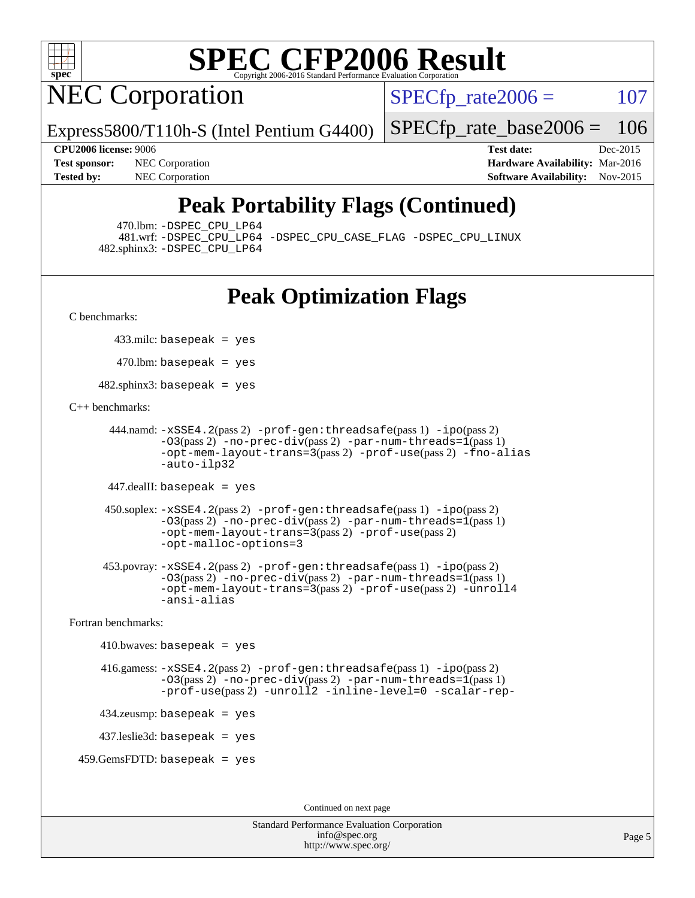

NEC Corporation

 $SPECTp_rate2006 = 107$ 

Express5800/T110h-S (Intel Pentium G4400)

[SPECfp\\_rate\\_base2006 =](http://www.spec.org/auto/cpu2006/Docs/result-fields.html#SPECfpratebase2006) 106

**[CPU2006 license:](http://www.spec.org/auto/cpu2006/Docs/result-fields.html#CPU2006license)** 9006 **[Test date:](http://www.spec.org/auto/cpu2006/Docs/result-fields.html#Testdate)** Dec-2015 **[Test sponsor:](http://www.spec.org/auto/cpu2006/Docs/result-fields.html#Testsponsor)** NEC Corporation **NEC Corporation [Hardware Availability:](http://www.spec.org/auto/cpu2006/Docs/result-fields.html#HardwareAvailability)** Mar-2016 **[Tested by:](http://www.spec.org/auto/cpu2006/Docs/result-fields.html#Testedby)** NEC Corporation **[Software Availability:](http://www.spec.org/auto/cpu2006/Docs/result-fields.html#SoftwareAvailability)** Nov-2015

### **[Peak Portability Flags \(Continued\)](http://www.spec.org/auto/cpu2006/Docs/result-fields.html#PeakPortabilityFlags)**

470.lbm: [-DSPEC\\_CPU\\_LP64](http://www.spec.org/cpu2006/results/res2016q1/cpu2006-20160125-38938.flags.html#suite_peakPORTABILITY470_lbm_DSPEC_CPU_LP64)

 481.wrf: [-DSPEC\\_CPU\\_LP64](http://www.spec.org/cpu2006/results/res2016q1/cpu2006-20160125-38938.flags.html#suite_peakPORTABILITY481_wrf_DSPEC_CPU_LP64) [-DSPEC\\_CPU\\_CASE\\_FLAG](http://www.spec.org/cpu2006/results/res2016q1/cpu2006-20160125-38938.flags.html#b481.wrf_peakCPORTABILITY_DSPEC_CPU_CASE_FLAG) [-DSPEC\\_CPU\\_LINUX](http://www.spec.org/cpu2006/results/res2016q1/cpu2006-20160125-38938.flags.html#b481.wrf_peakCPORTABILITY_DSPEC_CPU_LINUX) 482.sphinx3: [-DSPEC\\_CPU\\_LP64](http://www.spec.org/cpu2006/results/res2016q1/cpu2006-20160125-38938.flags.html#suite_peakPORTABILITY482_sphinx3_DSPEC_CPU_LP64)

### **[Peak Optimization Flags](http://www.spec.org/auto/cpu2006/Docs/result-fields.html#PeakOptimizationFlags)**

[C benchmarks](http://www.spec.org/auto/cpu2006/Docs/result-fields.html#Cbenchmarks):

433.milc: basepeak = yes

 $470$ .lbm: basepeak = yes

482.sphinx3: basepeak = yes

#### [C++ benchmarks:](http://www.spec.org/auto/cpu2006/Docs/result-fields.html#CXXbenchmarks)

```
 444.namd: -xSSE4.2(pass 2) -prof-gen:threadsafe(pass 1) -ipo(pass 2)
        -03(pass 2)-no-prec-div-par-num-threads=1(pass 1)
        -opt-mem-layout-trans=3(pass 2) -prof-use(pass 2) -fno-alias
        -auto-ilp32
```
447.dealII: basepeak = yes

```
 450.soplex: -xSSE4.2(pass 2) -prof-gen:threadsafe(pass 1) -ipo(pass 2)
         -O3(pass 2) -no-prec-div(pass 2) -par-num-threads=1(pass 1)
         -opt-mem-layout-trans=3(pass 2) -prof-use(pass 2)
         -opt-malloc-options=3
```

```
 453.povray: -xSSE4.2(pass 2) -prof-gen:threadsafe(pass 1) -ipo(pass 2)
         -03(pass 2)-no-prec-div-par-num-threads=1(pass 1)
         -opt-mem-layout-trans=3(pass 2) -prof-use(pass 2) -unroll4
         -ansi-alias
```
[Fortran benchmarks](http://www.spec.org/auto/cpu2006/Docs/result-fields.html#Fortranbenchmarks):

```
410.bwaves: basepeak = yes 416.gamess: -xSSE4.2(pass 2) -prof-gen:threadsafe(pass 1) -ipo(pass 2)
             -03(pass 2)-no-prec-div-par-num-threads=1(pass 1)
             -prof-use(pass 2) -unroll2 -inline-level=0 -scalar-rep-
    434.zeusmp: basepeak = yes
    437.leslie3d: basepeak = yes
 459.GemsFDTD: basepeak = yes
```
Continued on next page

Standard Performance Evaluation Corporation [info@spec.org](mailto:info@spec.org) <http://www.spec.org/>